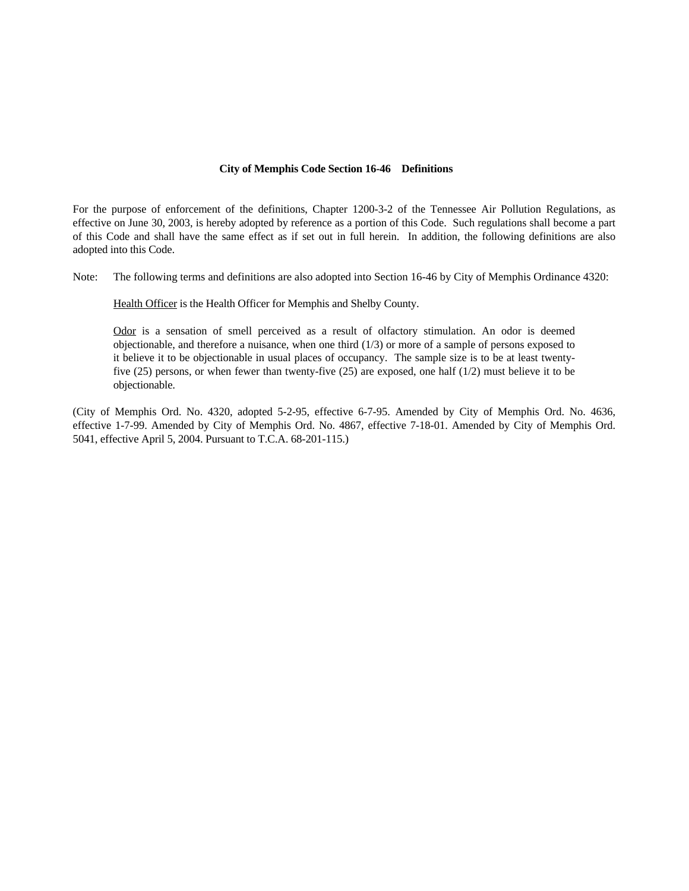#### **City of Memphis Code Section 16-46 Definitions**

For the purpose of enforcement of the definitions, Chapter 1200-3-2 of the Tennessee Air Pollution Regulations, as effective on June 30, 2003, is hereby adopted by reference as a portion of this Code. Such regulations shall become a part of this Code and shall have the same effect as if set out in full herein. In addition, the following definitions are also adopted into this Code.

Note: The following terms and definitions are also adopted into Section 16-46 by City of Memphis Ordinance 4320:

Health Officer is the Health Officer for Memphis and Shelby County.

Odor is a sensation of smell perceived as a result of olfactory stimulation. An odor is deemed objectionable, and therefore a nuisance, when one third (1/3) or more of a sample of persons exposed to it believe it to be objectionable in usual places of occupancy. The sample size is to be at least twentyfive (25) persons, or when fewer than twenty-five (25) are exposed, one half (1/2) must believe it to be objectionable.

(City of Memphis Ord. No. 4320, adopted 5-2-95, effective 6-7-95. Amended by City of Memphis Ord. No. 4636, effective 1-7-99. Amended by City of Memphis Ord. No. 4867, effective 7-18-01. Amended by City of Memphis Ord. 5041, effective April 5, 2004. Pursuant to T.C.A. 68-201-115.)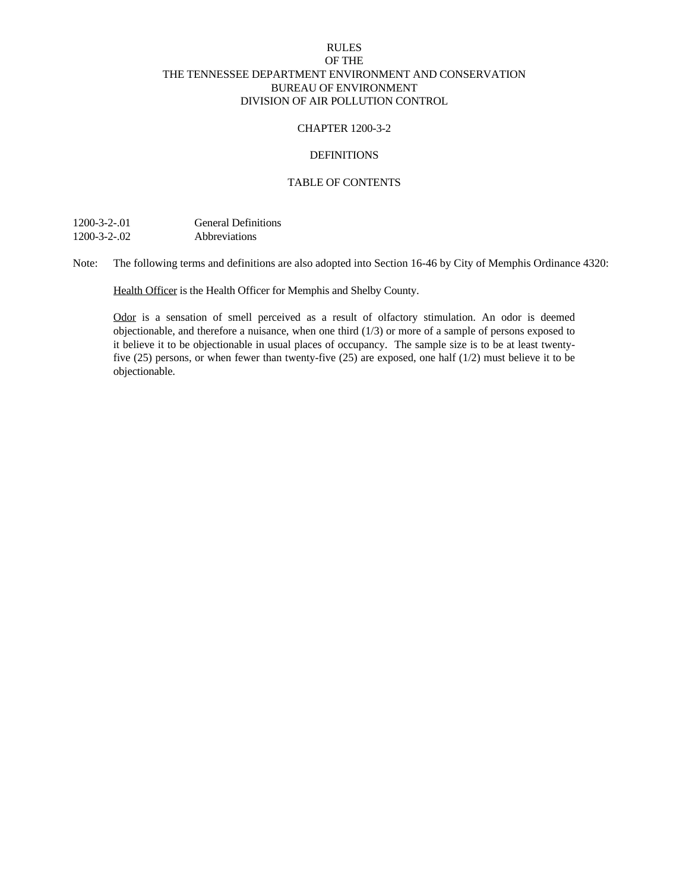# RULES OF THE THE TENNESSEE DEPARTMENT ENVIRONMENT AND CONSERVATION BUREAU OF ENVIRONMENT DIVISION OF AIR POLLUTION CONTROL

### CHAPTER 1200-3-2

# **DEFINITIONS**

## TABLE OF CONTENTS

1200-3-2-.01 General Definitions 1200-3-2-.02 Abbreviations

Note: The following terms and definitions are also adopted into Section 16-46 by City of Memphis Ordinance 4320:

Health Officer is the Health Officer for Memphis and Shelby County.

Odor is a sensation of smell perceived as a result of olfactory stimulation. An odor is deemed objectionable, and therefore a nuisance, when one third (1/3) or more of a sample of persons exposed to it believe it to be objectionable in usual places of occupancy. The sample size is to be at least twentyfive (25) persons, or when fewer than twenty-five (25) are exposed, one half (1/2) must believe it to be objectionable.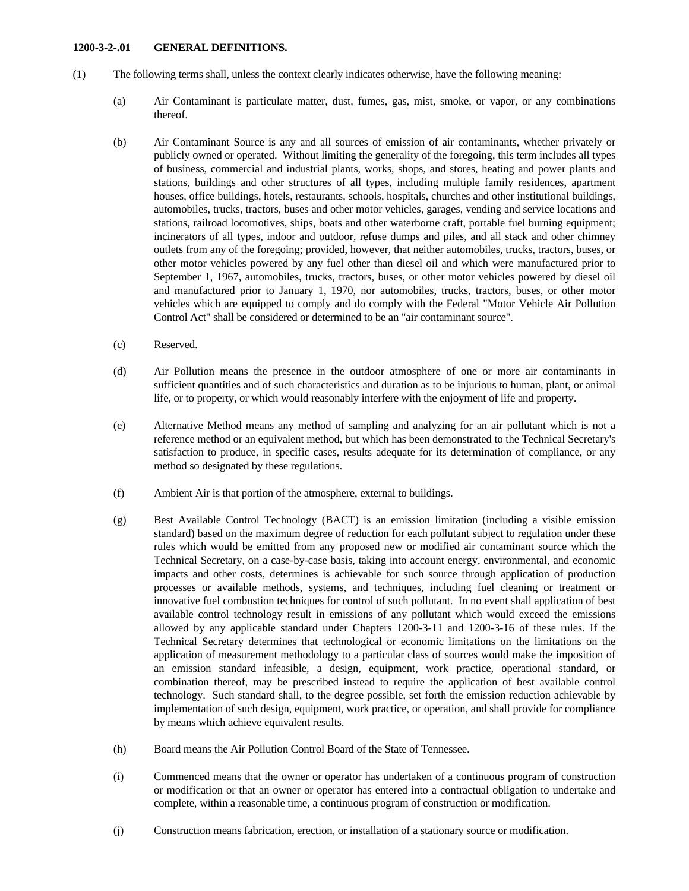#### **1200-3-2-.01 GENERAL DEFINITIONS.**

- (1) The following terms shall, unless the context clearly indicates otherwise, have the following meaning:
	- (a) Air Contaminant is particulate matter, dust, fumes, gas, mist, smoke, or vapor, or any combinations thereof.
	- (b) Air Contaminant Source is any and all sources of emission of air contaminants, whether privately or publicly owned or operated. Without limiting the generality of the foregoing, this term includes all types of business, commercial and industrial plants, works, shops, and stores, heating and power plants and stations, buildings and other structures of all types, including multiple family residences, apartment houses, office buildings, hotels, restaurants, schools, hospitals, churches and other institutional buildings, automobiles, trucks, tractors, buses and other motor vehicles, garages, vending and service locations and stations, railroad locomotives, ships, boats and other waterborne craft, portable fuel burning equipment; incinerators of all types, indoor and outdoor, refuse dumps and piles, and all stack and other chimney outlets from any of the foregoing; provided, however, that neither automobiles, trucks, tractors, buses, or other motor vehicles powered by any fuel other than diesel oil and which were manufactured prior to September 1, 1967, automobiles, trucks, tractors, buses, or other motor vehicles powered by diesel oil and manufactured prior to January 1, 1970, nor automobiles, trucks, tractors, buses, or other motor vehicles which are equipped to comply and do comply with the Federal "Motor Vehicle Air Pollution Control Act" shall be considered or determined to be an "air contaminant source".
	- (c) Reserved.
	- (d) Air Pollution means the presence in the outdoor atmosphere of one or more air contaminants in sufficient quantities and of such characteristics and duration as to be injurious to human, plant, or animal life, or to property, or which would reasonably interfere with the enjoyment of life and property.
	- (e) Alternative Method means any method of sampling and analyzing for an air pollutant which is not a reference method or an equivalent method, but which has been demonstrated to the Technical Secretary's satisfaction to produce, in specific cases, results adequate for its determination of compliance, or any method so designated by these regulations.
	- (f) Ambient Air is that portion of the atmosphere, external to buildings.
	- (g) Best Available Control Technology (BACT) is an emission limitation (including a visible emission standard) based on the maximum degree of reduction for each pollutant subject to regulation under these rules which would be emitted from any proposed new or modified air contaminant source which the Technical Secretary, on a case-by-case basis, taking into account energy, environmental, and economic impacts and other costs, determines is achievable for such source through application of production processes or available methods, systems, and techniques, including fuel cleaning or treatment or innovative fuel combustion techniques for control of such pollutant. In no event shall application of best available control technology result in emissions of any pollutant which would exceed the emissions allowed by any applicable standard under Chapters 1200-3-11 and 1200-3-16 of these rules. If the Technical Secretary determines that technological or economic limitations on the limitations on the application of measurement methodology to a particular class of sources would make the imposition of an emission standard infeasible, a design, equipment, work practice, operational standard, or combination thereof, may be prescribed instead to require the application of best available control technology. Such standard shall, to the degree possible, set forth the emission reduction achievable by implementation of such design, equipment, work practice, or operation, and shall provide for compliance by means which achieve equivalent results.
	- (h) Board means the Air Pollution Control Board of the State of Tennessee.
	- (i) Commenced means that the owner or operator has undertaken of a continuous program of construction or modification or that an owner or operator has entered into a contractual obligation to undertake and complete, within a reasonable time, a continuous program of construction or modification.
	- (j) Construction means fabrication, erection, or installation of a stationary source or modification.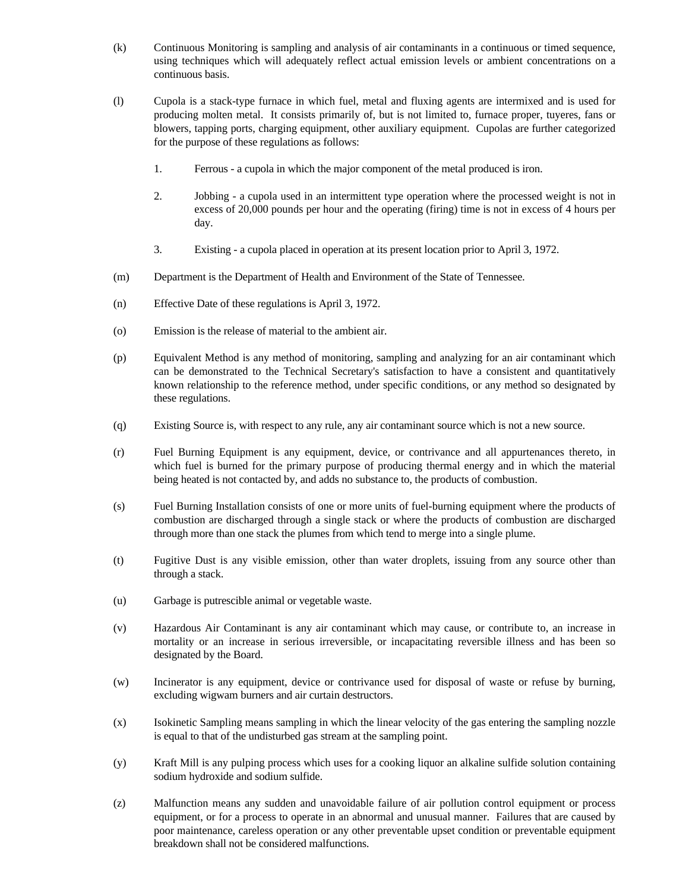- (k) Continuous Monitoring is sampling and analysis of air contaminants in a continuous or timed sequence, using techniques which will adequately reflect actual emission levels or ambient concentrations on a continuous basis.
- (l) Cupola is a stack-type furnace in which fuel, metal and fluxing agents are intermixed and is used for producing molten metal. It consists primarily of, but is not limited to, furnace proper, tuyeres, fans or blowers, tapping ports, charging equipment, other auxiliary equipment. Cupolas are further categorized for the purpose of these regulations as follows:
	- 1. Ferrous a cupola in which the major component of the metal produced is iron.
	- 2. Jobbing a cupola used in an intermittent type operation where the processed weight is not in excess of 20,000 pounds per hour and the operating (firing) time is not in excess of 4 hours per day.
	- 3. Existing a cupola placed in operation at its present location prior to April 3, 1972.
- (m) Department is the Department of Health and Environment of the State of Tennessee.
- (n) Effective Date of these regulations is April 3, 1972.
- (o) Emission is the release of material to the ambient air.
- (p) Equivalent Method is any method of monitoring, sampling and analyzing for an air contaminant which can be demonstrated to the Technical Secretary's satisfaction to have a consistent and quantitatively known relationship to the reference method, under specific conditions, or any method so designated by these regulations.
- (q) Existing Source is, with respect to any rule, any air contaminant source which is not a new source.
- (r) Fuel Burning Equipment is any equipment, device, or contrivance and all appurtenances thereto, in which fuel is burned for the primary purpose of producing thermal energy and in which the material being heated is not contacted by, and adds no substance to, the products of combustion.
- (s) Fuel Burning Installation consists of one or more units of fuel-burning equipment where the products of combustion are discharged through a single stack or where the products of combustion are discharged through more than one stack the plumes from which tend to merge into a single plume.
- (t) Fugitive Dust is any visible emission, other than water droplets, issuing from any source other than through a stack.
- (u) Garbage is putrescible animal or vegetable waste.
- (v) Hazardous Air Contaminant is any air contaminant which may cause, or contribute to, an increase in mortality or an increase in serious irreversible, or incapacitating reversible illness and has been so designated by the Board.
- (w) Incinerator is any equipment, device or contrivance used for disposal of waste or refuse by burning, excluding wigwam burners and air curtain destructors.
- (x) Isokinetic Sampling means sampling in which the linear velocity of the gas entering the sampling nozzle is equal to that of the undisturbed gas stream at the sampling point.
- (y) Kraft Mill is any pulping process which uses for a cooking liquor an alkaline sulfide solution containing sodium hydroxide and sodium sulfide.
- (z) Malfunction means any sudden and unavoidable failure of air pollution control equipment or process equipment, or for a process to operate in an abnormal and unusual manner. Failures that are caused by poor maintenance, careless operation or any other preventable upset condition or preventable equipment breakdown shall not be considered malfunctions.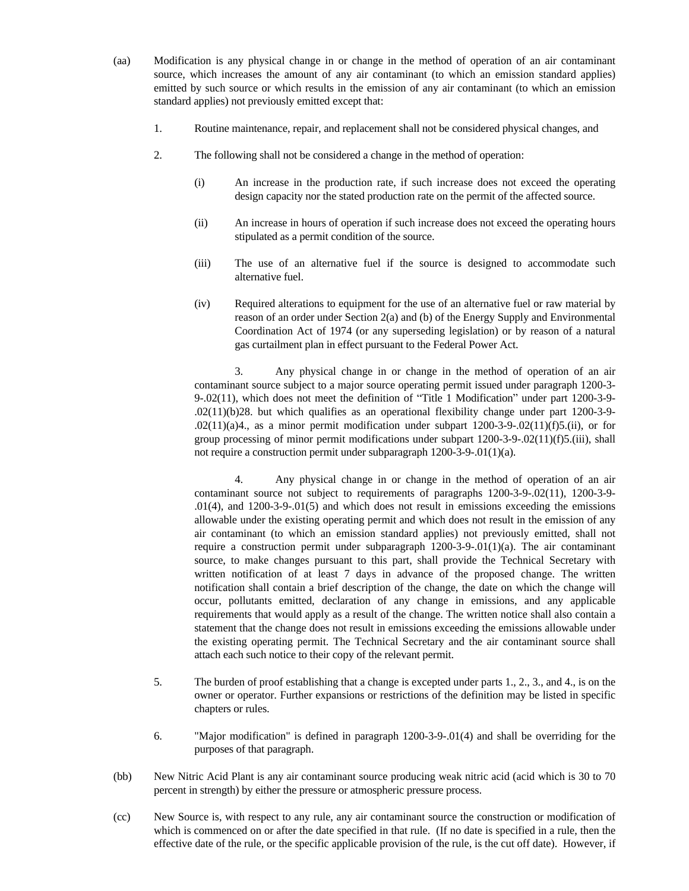- (aa) Modification is any physical change in or change in the method of operation of an air contaminant source, which increases the amount of any air contaminant (to which an emission standard applies) emitted by such source or which results in the emission of any air contaminant (to which an emission standard applies) not previously emitted except that:
	- 1. Routine maintenance, repair, and replacement shall not be considered physical changes, and
	- 2. The following shall not be considered a change in the method of operation:
		- (i) An increase in the production rate, if such increase does not exceed the operating design capacity nor the stated production rate on the permit of the affected source.
		- (ii) An increase in hours of operation if such increase does not exceed the operating hours stipulated as a permit condition of the source.
		- (iii) The use of an alternative fuel if the source is designed to accommodate such alternative fuel.
		- (iv) Required alterations to equipment for the use of an alternative fuel or raw material by reason of an order under Section 2(a) and (b) of the Energy Supply and Environmental Coordination Act of 1974 (or any superseding legislation) or by reason of a natural gas curtailment plan in effect pursuant to the Federal Power Act.

3. Any physical change in or change in the method of operation of an air contaminant source subject to a major source operating permit issued under paragraph 1200-3- 9-.02(11), which does not meet the definition of "Title 1 Modification" under part 1200-3-9- .02(11)(b)28. but which qualifies as an operational flexibility change under part 1200-3-9- .02(11)(a)4., as a minor permit modification under subpart 1200-3-9-.02(11)(f)5.(ii), or for group processing of minor permit modifications under subpart 1200-3-9-.02(11)(f)5.(iii), shall not require a construction permit under subparagraph 1200-3-9-.01(1)(a).

4. Any physical change in or change in the method of operation of an air contaminant source not subject to requirements of paragraphs 1200-3-9-.02(11), 1200-3-9- .01(4), and 1200-3-9-.01(5) and which does not result in emissions exceeding the emissions allowable under the existing operating permit and which does not result in the emission of any air contaminant (to which an emission standard applies) not previously emitted, shall not require a construction permit under subparagraph 1200-3-9-.01(1)(a). The air contaminant source, to make changes pursuant to this part, shall provide the Technical Secretary with written notification of at least 7 days in advance of the proposed change. The written notification shall contain a brief description of the change, the date on which the change will occur, pollutants emitted, declaration of any change in emissions, and any applicable requirements that would apply as a result of the change. The written notice shall also contain a statement that the change does not result in emissions exceeding the emissions allowable under the existing operating permit. The Technical Secretary and the air contaminant source shall attach each such notice to their copy of the relevant permit.

- 5. The burden of proof establishing that a change is excepted under parts 1., 2., 3., and 4., is on the owner or operator. Further expansions or restrictions of the definition may be listed in specific chapters or rules.
- 6. "Major modification" is defined in paragraph 1200-3-9-.01(4) and shall be overriding for the purposes of that paragraph.
- (bb) New Nitric Acid Plant is any air contaminant source producing weak nitric acid (acid which is 30 to 70 percent in strength) by either the pressure or atmospheric pressure process.
- (cc) New Source is, with respect to any rule, any air contaminant source the construction or modification of which is commenced on or after the date specified in that rule. (If no date is specified in a rule, then the effective date of the rule, or the specific applicable provision of the rule, is the cut off date). However, if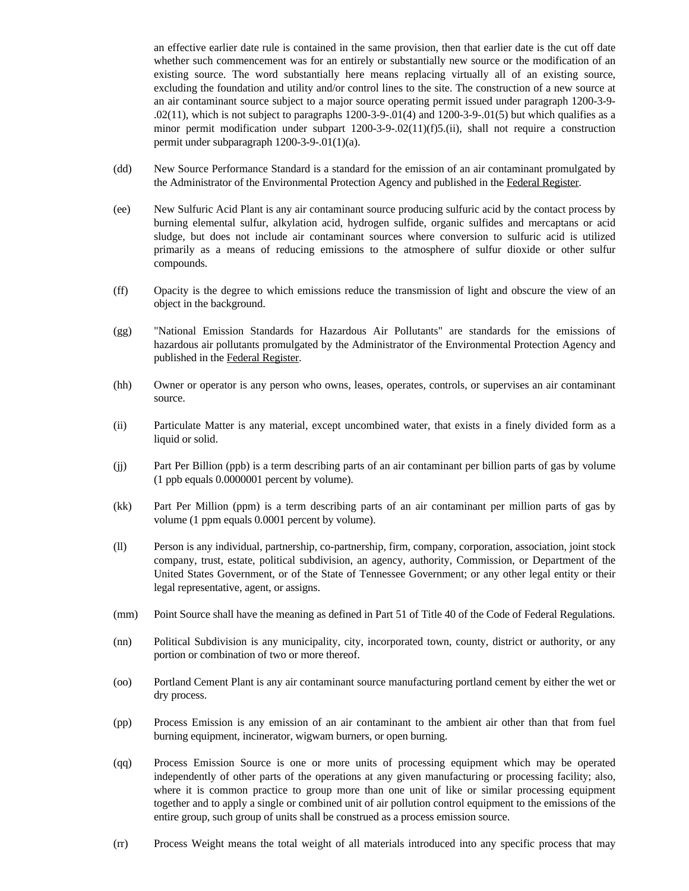an effective earlier date rule is contained in the same provision, then that earlier date is the cut off date whether such commencement was for an entirely or substantially new source or the modification of an existing source. The word substantially here means replacing virtually all of an existing source, excluding the foundation and utility and/or control lines to the site. The construction of a new source at an air contaminant source subject to a major source operating permit issued under paragraph 1200-3-9-  $.02(11)$ , which is not subject to paragraphs 1200-3-9-.01(4) and 1200-3-9-.01(5) but which qualifies as a minor permit modification under subpart 1200-3-9-.02(11)(f)5.(ii), shall not require a construction permit under subparagraph 1200-3-9-.01(1)(a).

- (dd) New Source Performance Standard is a standard for the emission of an air contaminant promulgated by the Administrator of the Environmental Protection Agency and published in the Federal Register.
- (ee) New Sulfuric Acid Plant is any air contaminant source producing sulfuric acid by the contact process by burning elemental sulfur, alkylation acid, hydrogen sulfide, organic sulfides and mercaptans or acid sludge, but does not include air contaminant sources where conversion to sulfuric acid is utilized primarily as a means of reducing emissions to the atmosphere of sulfur dioxide or other sulfur compounds.
- (ff) Opacity is the degree to which emissions reduce the transmission of light and obscure the view of an object in the background.
- (gg) "National Emission Standards for Hazardous Air Pollutants" are standards for the emissions of hazardous air pollutants promulgated by the Administrator of the Environmental Protection Agency and published in the Federal Register.
- (hh) Owner or operator is any person who owns, leases, operates, controls, or supervises an air contaminant source.
- (ii) Particulate Matter is any material, except uncombined water, that exists in a finely divided form as a liquid or solid.
- (jj) Part Per Billion (ppb) is a term describing parts of an air contaminant per billion parts of gas by volume (1 ppb equals 0.0000001 percent by volume).
- (kk) Part Per Million (ppm) is a term describing parts of an air contaminant per million parts of gas by volume (1 ppm equals 0.0001 percent by volume).
- (ll) Person is any individual, partnership, co-partnership, firm, company, corporation, association, joint stock company, trust, estate, political subdivision, an agency, authority, Commission, or Department of the United States Government, or of the State of Tennessee Government; or any other legal entity or their legal representative, agent, or assigns.
- (mm) Point Source shall have the meaning as defined in Part 51 of Title 40 of the Code of Federal Regulations.
- (nn) Political Subdivision is any municipality, city, incorporated town, county, district or authority, or any portion or combination of two or more thereof.
- (oo) Portland Cement Plant is any air contaminant source manufacturing portland cement by either the wet or dry process.
- (pp) Process Emission is any emission of an air contaminant to the ambient air other than that from fuel burning equipment, incinerator, wigwam burners, or open burning.
- (qq) Process Emission Source is one or more units of processing equipment which may be operated independently of other parts of the operations at any given manufacturing or processing facility; also, where it is common practice to group more than one unit of like or similar processing equipment together and to apply a single or combined unit of air pollution control equipment to the emissions of the entire group, such group of units shall be construed as a process emission source.
- (rr) Process Weight means the total weight of all materials introduced into any specific process that may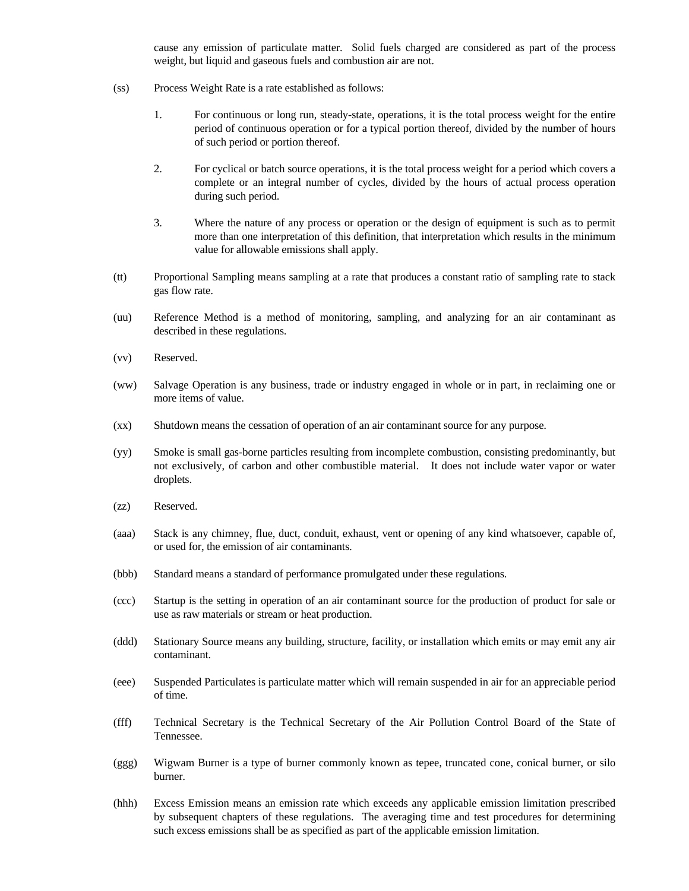cause any emission of particulate matter. Solid fuels charged are considered as part of the process weight, but liquid and gaseous fuels and combustion air are not.

- (ss) Process Weight Rate is a rate established as follows:
	- 1. For continuous or long run, steady-state, operations, it is the total process weight for the entire period of continuous operation or for a typical portion thereof, divided by the number of hours of such period or portion thereof.
	- 2. For cyclical or batch source operations, it is the total process weight for a period which covers a complete or an integral number of cycles, divided by the hours of actual process operation during such period.
	- 3. Where the nature of any process or operation or the design of equipment is such as to permit more than one interpretation of this definition, that interpretation which results in the minimum value for allowable emissions shall apply.
- (tt) Proportional Sampling means sampling at a rate that produces a constant ratio of sampling rate to stack gas flow rate.
- (uu) Reference Method is a method of monitoring, sampling, and analyzing for an air contaminant as described in these regulations.
- (vv) Reserved.
- (ww) Salvage Operation is any business, trade or industry engaged in whole or in part, in reclaiming one or more items of value.
- (xx) Shutdown means the cessation of operation of an air contaminant source for any purpose.
- (yy) Smoke is small gas-borne particles resulting from incomplete combustion, consisting predominantly, but not exclusively, of carbon and other combustible material. It does not include water vapor or water droplets.
- (zz) Reserved.
- (aaa) Stack is any chimney, flue, duct, conduit, exhaust, vent or opening of any kind whatsoever, capable of, or used for, the emission of air contaminants.
- (bbb) Standard means a standard of performance promulgated under these regulations.
- (ccc) Startup is the setting in operation of an air contaminant source for the production of product for sale or use as raw materials or stream or heat production.
- (ddd) Stationary Source means any building, structure, facility, or installation which emits or may emit any air contaminant.
- (eee) Suspended Particulates is particulate matter which will remain suspended in air for an appreciable period of time.
- (fff) Technical Secretary is the Technical Secretary of the Air Pollution Control Board of the State of Tennessee.
- (ggg) Wigwam Burner is a type of burner commonly known as tepee, truncated cone, conical burner, or silo burner.
- (hhh) Excess Emission means an emission rate which exceeds any applicable emission limitation prescribed by subsequent chapters of these regulations. The averaging time and test procedures for determining such excess emissions shall be as specified as part of the applicable emission limitation.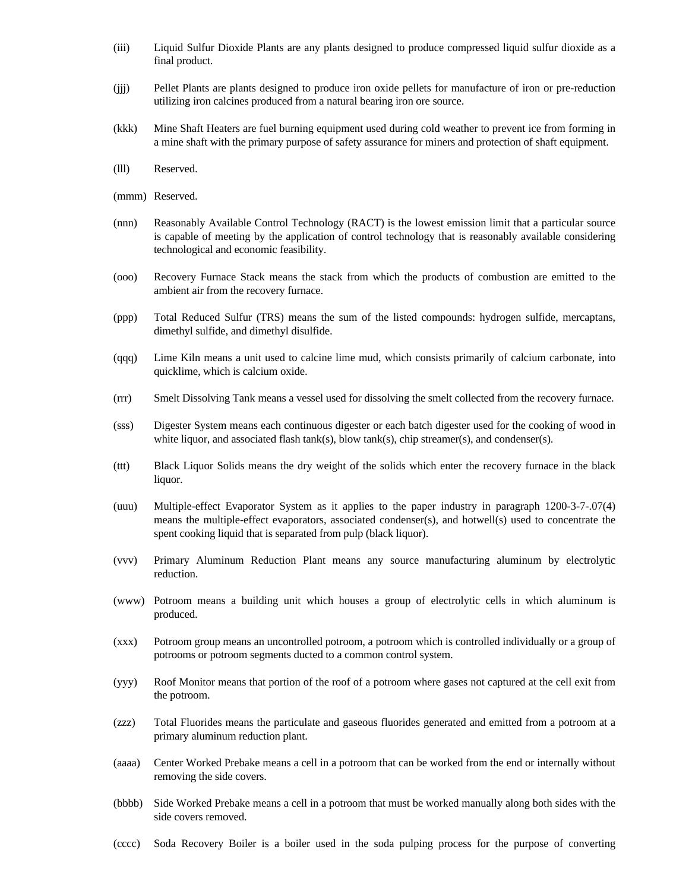- (iii) Liquid Sulfur Dioxide Plants are any plants designed to produce compressed liquid sulfur dioxide as a final product.
- (jjj) Pellet Plants are plants designed to produce iron oxide pellets for manufacture of iron or pre-reduction utilizing iron calcines produced from a natural bearing iron ore source.
- (kkk) Mine Shaft Heaters are fuel burning equipment used during cold weather to prevent ice from forming in a mine shaft with the primary purpose of safety assurance for miners and protection of shaft equipment.
- (lll) Reserved.
- (mmm) Reserved.
- (nnn) Reasonably Available Control Technology (RACT) is the lowest emission limit that a particular source is capable of meeting by the application of control technology that is reasonably available considering technological and economic feasibility.
- (ooo) Recovery Furnace Stack means the stack from which the products of combustion are emitted to the ambient air from the recovery furnace.
- (ppp) Total Reduced Sulfur (TRS) means the sum of the listed compounds: hydrogen sulfide, mercaptans, dimethyl sulfide, and dimethyl disulfide.
- (qqq) Lime Kiln means a unit used to calcine lime mud, which consists primarily of calcium carbonate, into quicklime, which is calcium oxide.
- (rrr) Smelt Dissolving Tank means a vessel used for dissolving the smelt collected from the recovery furnace.
- (sss) Digester System means each continuous digester or each batch digester used for the cooking of wood in white liquor, and associated flash tank(s), blow tank(s), chip streamer(s), and condenser(s).
- (ttt) Black Liquor Solids means the dry weight of the solids which enter the recovery furnace in the black liquor.
- (uuu) Multiple-effect Evaporator System as it applies to the paper industry in paragraph 1200-3-7-.07(4) means the multiple-effect evaporators, associated condenser(s), and hotwell(s) used to concentrate the spent cooking liquid that is separated from pulp (black liquor).
- (vvv) Primary Aluminum Reduction Plant means any source manufacturing aluminum by electrolytic reduction.
- (www) Potroom means a building unit which houses a group of electrolytic cells in which aluminum is produced.
- (xxx) Potroom group means an uncontrolled potroom, a potroom which is controlled individually or a group of potrooms or potroom segments ducted to a common control system.
- (yyy) Roof Monitor means that portion of the roof of a potroom where gases not captured at the cell exit from the potroom.
- (zzz) Total Fluorides means the particulate and gaseous fluorides generated and emitted from a potroom at a primary aluminum reduction plant.
- (aaaa) Center Worked Prebake means a cell in a potroom that can be worked from the end or internally without removing the side covers.
- (bbbb) Side Worked Prebake means a cell in a potroom that must be worked manually along both sides with the side covers removed.
- (cccc) Soda Recovery Boiler is a boiler used in the soda pulping process for the purpose of converting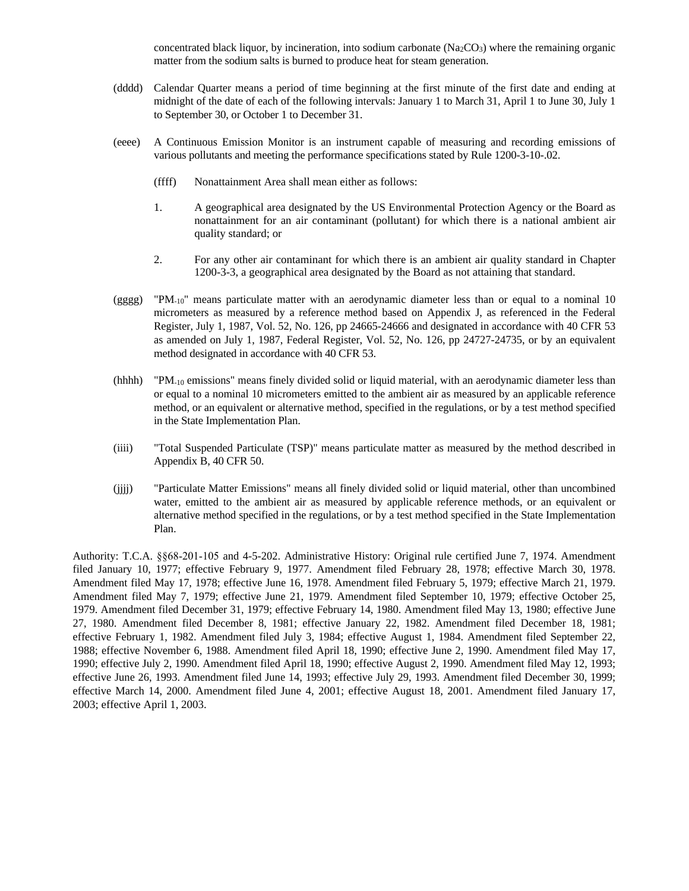concentrated black liquor, by incineration, into sodium carbonate  $(Na<sub>2</sub>CO<sub>3</sub>)$  where the remaining organic matter from the sodium salts is burned to produce heat for steam generation.

- (dddd) Calendar Quarter means a period of time beginning at the first minute of the first date and ending at midnight of the date of each of the following intervals: January 1 to March 31, April 1 to June 30, July 1 to September 30, or October 1 to December 31.
- (eeee) A Continuous Emission Monitor is an instrument capable of measuring and recording emissions of various pollutants and meeting the performance specifications stated by Rule 1200-3-10-.02.
	- (ffff) Nonattainment Area shall mean either as follows:
	- 1. A geographical area designated by the US Environmental Protection Agency or the Board as nonattainment for an air contaminant (pollutant) for which there is a national ambient air quality standard; or
	- 2. For any other air contaminant for which there is an ambient air quality standard in Chapter 1200-3-3, a geographical area designated by the Board as not attaining that standard.
- (gggg) "PM<sub>-10</sub>" means particulate matter with an aerodynamic diameter less than or equal to a nominal 10 micrometers as measured by a reference method based on Appendix J, as referenced in the Federal Register, July 1, 1987, Vol. 52, No. 126, pp 24665-24666 and designated in accordance with 40 CFR 53 as amended on July 1, 1987, Federal Register, Vol. 52, No. 126, pp 24727-24735, or by an equivalent method designated in accordance with 40 CFR 53.
- (hhhh) "PM-10 emissions" means finely divided solid or liquid material, with an aerodynamic diameter less than or equal to a nominal 10 micrometers emitted to the ambient air as measured by an applicable reference method, or an equivalent or alternative method, specified in the regulations, or by a test method specified in the State Implementation Plan.
- (iiii) "Total Suspended Particulate (TSP)" means particulate matter as measured by the method described in Appendix B, 40 CFR 50.
- (jjjj) "Particulate Matter Emissions" means all finely divided solid or liquid material, other than uncombined water, emitted to the ambient air as measured by applicable reference methods, or an equivalent or alternative method specified in the regulations, or by a test method specified in the State Implementation Plan.

Authority: T.C.A. §§68-201-105 and 4-5-202. Administrative History: Original rule certified June 7, 1974. Amendment filed January 10, 1977; effective February 9, 1977. Amendment filed February 28, 1978; effective March 30, 1978. Amendment filed May 17, 1978; effective June 16, 1978. Amendment filed February 5, 1979; effective March 21, 1979. Amendment filed May 7, 1979; effective June 21, 1979. Amendment filed September 10, 1979; effective October 25, 1979. Amendment filed December 31, 1979; effective February 14, 1980. Amendment filed May 13, 1980; effective June 27, 1980. Amendment filed December 8, 1981; effective January 22, 1982. Amendment filed December 18, 1981; effective February 1, 1982. Amendment filed July 3, 1984; effective August 1, 1984. Amendment filed September 22, 1988; effective November 6, 1988. Amendment filed April 18, 1990; effective June 2, 1990. Amendment filed May 17, 1990; effective July 2, 1990. Amendment filed April 18, 1990; effective August 2, 1990. Amendment filed May 12, 1993; effective June 26, 1993. Amendment filed June 14, 1993; effective July 29, 1993. Amendment filed December 30, 1999; effective March 14, 2000. Amendment filed June 4, 2001; effective August 18, 2001. Amendment filed January 17, 2003; effective April 1, 2003.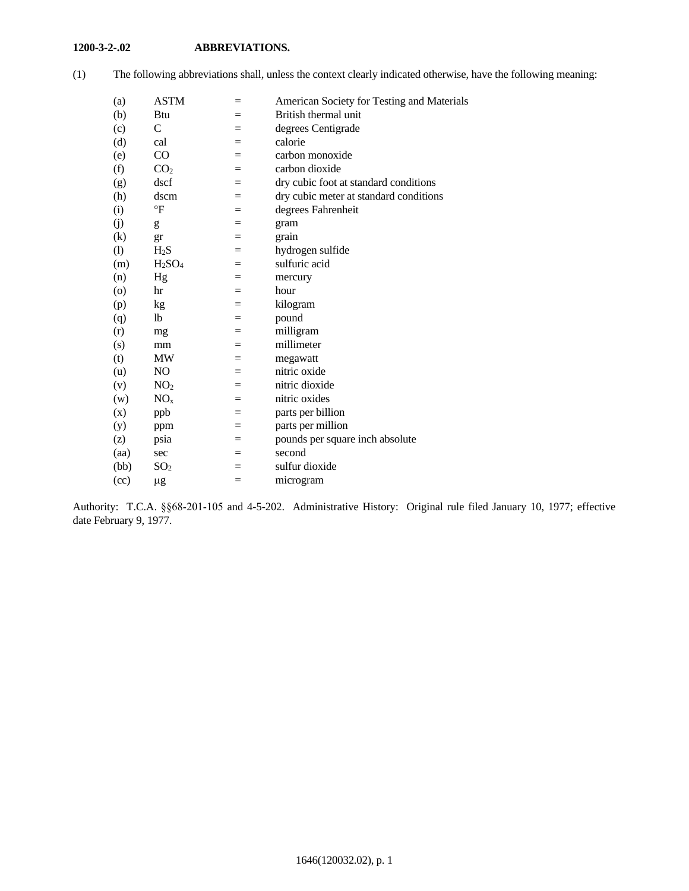## **1200-3-2-.02 ABBREVIATIONS.**

| (a)               | <b>ASTM</b>                    | $=$ | American Society for Testing and Materials |
|-------------------|--------------------------------|-----|--------------------------------------------|
| (b)               | Btu                            | $=$ | British thermal unit                       |
| (c)               | C                              | $=$ | degrees Centigrade                         |
| (d)               | cal                            | $=$ | calorie                                    |
| (e)               | CO                             | $=$ | carbon monoxide                            |
| (f)               | CO <sub>2</sub>                | $=$ | carbon dioxide                             |
| (g)               | dscf                           | $=$ | dry cubic foot at standard conditions      |
| (h)               | dscm                           | $=$ | dry cubic meter at standard conditions     |
| (i)               | $\mathsf{P}$                   | $=$ | degrees Fahrenheit                         |
| (i)               | g                              | $=$ | gram                                       |
| $\left( k\right)$ | gr                             | $=$ | grain                                      |
| (1)               | $H_2S$                         | $=$ | hydrogen sulfide                           |
| (m)               | H <sub>2</sub> SO <sub>4</sub> | $=$ | sulfuric acid                              |
| (n)               | Hg                             | $=$ | mercury                                    |
| $\circ$           | hr                             | $=$ | hour                                       |
| (p)               | kg                             | $=$ | kilogram                                   |
| (q)               | lb                             | $=$ | pound                                      |
| (r)               | mg                             | $=$ | milligram                                  |
| (s)               | mm                             | $=$ | millimeter                                 |
| (t)               | MW                             | $=$ | megawatt                                   |
| (u)               | N <sub>O</sub>                 | $=$ | nitric oxide                               |
| (v)               | NO <sub>2</sub>                | $=$ | nitric dioxide                             |
| (w)               | NO <sub>x</sub>                | $=$ | nitric oxides                              |
| (x)               | ppb                            | $=$ | parts per billion                          |
| (y)               | ppm                            | $=$ | parts per million                          |
| (z)               | psia                           | $=$ | pounds per square inch absolute            |
| (aa)              | sec                            | $=$ | second                                     |
| (bb)              | SO <sub>2</sub>                | $=$ | sulfur dioxide                             |
| (cc)              | $\mu$ g                        | $=$ | microgram                                  |
|                   |                                |     |                                            |

(1) The following abbreviations shall, unless the context clearly indicated otherwise, have the following meaning:

Authority: T.C.A. §§68-201-105 and 4-5-202. Administrative History: Original rule filed January 10, 1977; effective date February 9, 1977.